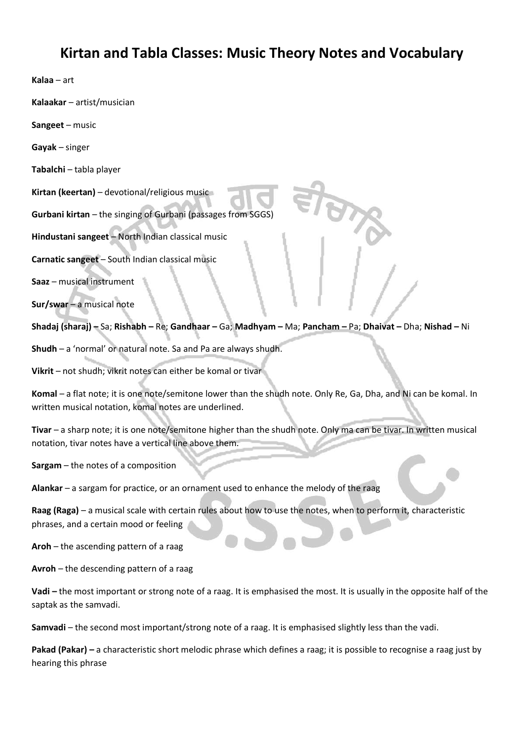## **Kirtan and Tabla Classes: Music Theory Notes and Vocabulary**

**Kalaa** – art

**Kalaakar** – artist/musician

**Sangeet** – music

**Gayak** – singer

**Tabalchi** – tabla player

**Kirtan (keertan)** – devotional/religious music

**Gurbani kirtan** – the singing of Gurbani (passages from SGGS)

**Hindustani sangeet** – North Indian classical music

**Carnatic sangeet** – South Indian classical music

**Saaz** – musical instrument

**Sur/swar** – a musical note

**Shadaj (sharaj) –** Sa; **Rishabh –** Re; **Gandhaar –** Ga; **Madhyam –** Ma; **Pancham –** Pa; **Dhaivat –** Dha; **Nishad –** Ni

**Shudh** – a 'normal' or natural note. Sa and Pa are always shudh.

**Vikrit** – not shudh; vikrit notes can either be komal or tivar

**Komal** – a flat note; it is one note/semitone lower than the shudh note. Only Re, Ga, Dha, and Ni can be komal. In written musical notation, komal notes are underlined.

**Tivar** – a sharp note; it is one note/semitone higher than the shudh note. Only ma can be tivar. In written musical notation, tivar notes have a vertical line above them.

**Sargam** – the notes of a composition

**Alankar** – a sargam for practice, or an ornament used to enhance the melody of the raag

**Raag (Raga)** – a musical scale with certain rules about how to use the notes, when to perform it, characteristic phrases, and a certain mood or feeling

**Aroh** – the ascending pattern of a raag

**Avroh** – the descending pattern of a raag

**Vadi –** the most important or strong note of a raag. It is emphasised the most. It is usually in the opposite half of the saptak as the samvadi.

**Samvadi** – the second most important/strong note of a raag. It is emphasised slightly less than the vadi.

**Pakad (Pakar) –** a characteristic short melodic phrase which defines a raag; it is possible to recognise a raag just by hearing this phrase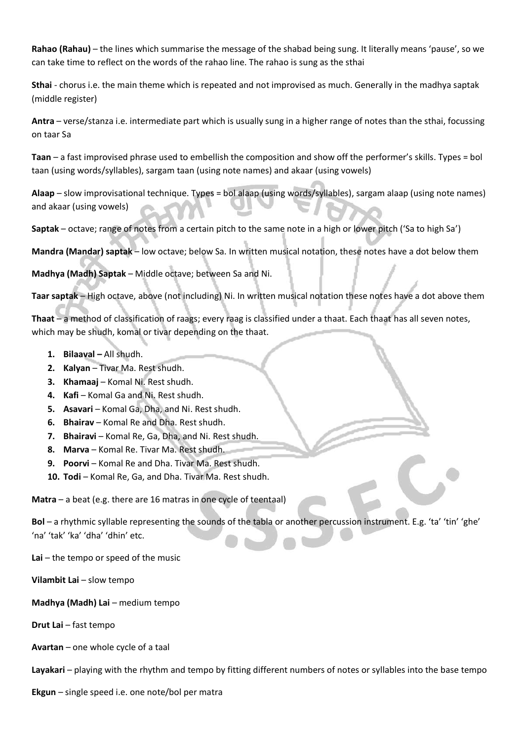**Rahao (Rahau)** – the lines which summarise the message of the shabad being sung. It literally means 'pause', so we can take time to reflect on the words of the rahao line. The rahao is sung as the sthai

**Sthai** - chorus i.e. the main theme which is repeated and not improvised as much. Generally in the madhya saptak (middle register)

**Antra** – verse/stanza i.e. intermediate part which is usually sung in a higher range of notes than the sthai, focussing on taar Sa

**Taan** – a fast improvised phrase used to embellish the composition and show off the performer's skills. Types = bol taan (using words/syllables), sargam taan (using note names) and akaar (using vowels)

**Alaap** – slow improvisational technique. Types = bol alaap (using words/syllables), sargam alaap (using note names) and akaar (using vowels)

**Saptak** – octave; range of notes from a certain pitch to the same note in a high or lower pitch ('Sa to high Sa')

**Mandra (Mandar) saptak** – low octave; below Sa. In written musical notation, these notes have a dot below them

**Madhya (Madh) Saptak** – Middle octave; between Sa and Ni.

**Taar saptak** – High octave, above (not including) Ni. In written musical notation these notes have a dot above them

**Thaat** – a method of classification of raags; every raag is classified under a thaat. Each thaat has all seven notes, which may be shudh, komal or tivar depending on the thaat.

- **1. Bilaaval –** All shudh.
- **2. Kalyan** Tivar Ma. Rest shudh.
- **3. Khamaaj** Komal Ni. Rest shudh.
- **4. Kafi** Komal Ga and Ni. Rest shudh.
- **5. Asavari** Komal Ga, Dha, and Ni. Rest shudh.
- **6. Bhairav** Komal Re and Dha. Rest shudh.
- **7. Bhairavi** Komal Re, Ga, Dha, and Ni. Rest shudh.
- **8. Marva** Komal Re. Tivar Ma. Rest shudh.
- **9. Poorvi** Komal Re and Dha. Tivar Ma. Rest shudh.
- **10. Todi** Komal Re, Ga, and Dha. Tivar Ma. Rest shudh.

**Matra** – a beat (e.g. there are 16 matras in one cycle of teentaal)

**Bol** – a rhythmic syllable representing the sounds of the tabla or another percussion instrument. E.g. 'ta' 'tin' 'ghe' 'na' 'tak' 'ka' 'dha' 'dhin' etc.

**Lai** – the tempo or speed of the music

**Vilambit Lai** – slow tempo

**Madhya (Madh) Lai** – medium tempo

**Drut Lai** – fast tempo

**Avartan** – one whole cycle of a taal

**Layakari** – playing with the rhythm and tempo by fitting different numbers of notes or syllables into the base tempo

**Ekgun** – single speed i.e. one note/bol per matra